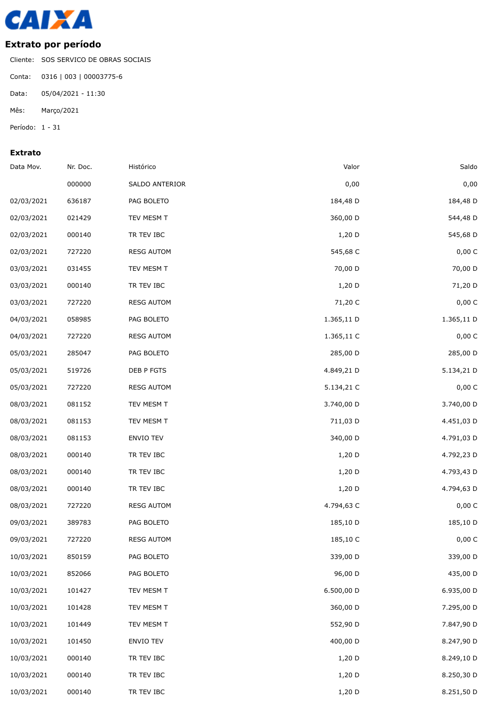

## **Extrato por período**

Cliente: SOS SERVICO DE OBRAS SOCIAIS Conta: 0316 | 003 | 00003775-6 Data: 05/04/2021 - 11:30

Mês: Março/2021

Período: 1 - 31

## **Extrato**

| Data Mov.  | Nr. Doc. | Histórico         | Valor      | Saldo      |
|------------|----------|-------------------|------------|------------|
|            | 000000   | SALDO ANTERIOR    | 0,00       | 0,00       |
| 02/03/2021 | 636187   | PAG BOLETO        | 184,48 D   | 184,48 D   |
| 02/03/2021 | 021429   | TEV MESM T        | 360,00 D   | 544,48 D   |
| 02/03/2021 | 000140   | TR TEV IBC        | $1,20$ D   | 545,68 D   |
| 02/03/2021 | 727220   | <b>RESG AUTOM</b> | 545,68 C   | 0,00C      |
| 03/03/2021 | 031455   | TEV MESM T        | 70,00 D    | 70,00 D    |
| 03/03/2021 | 000140   | TR TEV IBC        | 1,20 D     | 71,20 D    |
| 03/03/2021 | 727220   | <b>RESG AUTOM</b> | 71,20 C    | 0,00 C     |
| 04/03/2021 | 058985   | PAG BOLETO        | 1.365,11 D | 1.365,11 D |
| 04/03/2021 | 727220   | <b>RESG AUTOM</b> | 1.365,11 C | 0,00 C     |
| 05/03/2021 | 285047   | PAG BOLETO        | 285,00 D   | 285,00 D   |
| 05/03/2021 | 519726   | DEB P FGTS        | 4.849,21 D | 5.134,21 D |
| 05/03/2021 | 727220   | <b>RESG AUTOM</b> | 5.134,21 C | 0,00 C     |
| 08/03/2021 | 081152   | TEV MESM T        | 3.740,00 D | 3.740,00 D |
| 08/03/2021 | 081153   | TEV MESM T        | 711,03 D   | 4.451,03 D |
| 08/03/2021 | 081153   | ENVIO TEV         | 340,00 D   | 4.791,03 D |
| 08/03/2021 | 000140   | TR TEV IBC        | 1,20 D     | 4.792,23 D |
| 08/03/2021 | 000140   | TR TEV IBC        | 1,20 D     | 4.793,43 D |
| 08/03/2021 | 000140   | TR TEV IBC        | $1,20$ D   | 4.794,63 D |
| 08/03/2021 | 727220   | <b>RESG AUTOM</b> | 4.794,63 C | 0,00 C     |
| 09/03/2021 | 389783   | PAG BOLETO        | 185,10 D   | 185,10 D   |
| 09/03/2021 | 727220   | <b>RESG AUTOM</b> | 185,10 C   | 0,00 C     |
| 10/03/2021 | 850159   | PAG BOLETO        | 339,00 D   | 339,00 D   |
| 10/03/2021 | 852066   | PAG BOLETO        | 96,00 D    | 435,00 D   |
| 10/03/2021 | 101427   | TEV MESM T        | 6.500,00 D | 6.935,00 D |
| 10/03/2021 | 101428   | TEV MESM T        | 360,00 D   | 7.295,00 D |
| 10/03/2021 | 101449   | TEV MESM T        | 552,90 D   | 7.847,90 D |
| 10/03/2021 | 101450   | ENVIO TEV         | 400,00 D   | 8.247,90 D |
| 10/03/2021 | 000140   | TR TEV IBC        | 1,20 D     | 8.249,10 D |
| 10/03/2021 | 000140   | TR TEV IBC        | 1,20 D     | 8.250,30 D |
| 10/03/2021 | 000140   | TR TEV IBC        | 1,20 D     | 8.251,50 D |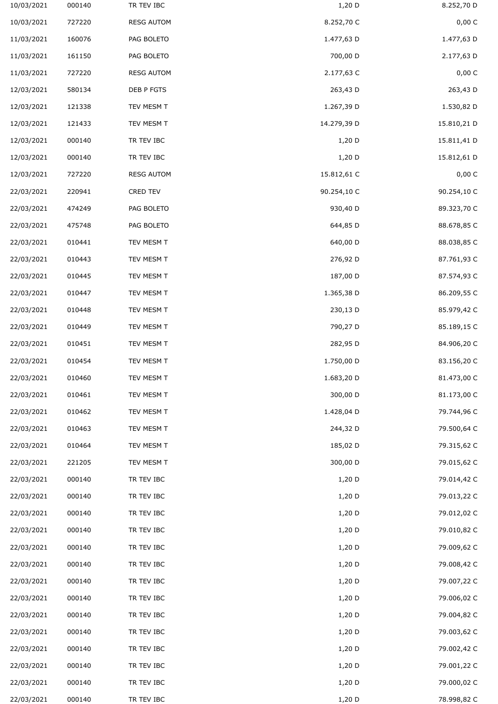| 10/03/2021 | 000140 | TR TEV IBC        | $1,20$ D    | 8.252,70 D  |
|------------|--------|-------------------|-------------|-------------|
| 10/03/2021 | 727220 | <b>RESG AUTOM</b> | 8.252,70 C  | 0,00 C      |
| 11/03/2021 | 160076 | PAG BOLETO        | 1.477,63 D  | 1.477,63 D  |
| 11/03/2021 | 161150 | PAG BOLETO        | 700,00 D    | 2.177,63 D  |
| 11/03/2021 | 727220 | <b>RESG AUTOM</b> | 2.177,63 C  | 0,00 C      |
| 12/03/2021 | 580134 | DEB P FGTS        | 263,43 D    | 263,43 D    |
| 12/03/2021 | 121338 | TEV MESM T        | 1.267,39 D  | 1.530,82 D  |
| 12/03/2021 | 121433 | TEV MESM T        | 14.279,39 D | 15.810,21 D |
| 12/03/2021 | 000140 | TR TEV IBC        | $1,20$ D    | 15.811,41 D |
| 12/03/2021 | 000140 | TR TEV IBC        | $1,20$ D    | 15.812,61 D |
| 12/03/2021 | 727220 | <b>RESG AUTOM</b> | 15.812,61 C | 0,00 C      |
| 22/03/2021 | 220941 | CRED TEV          | 90.254,10 C | 90.254,10 C |
| 22/03/2021 | 474249 | PAG BOLETO        | 930,40 D    | 89.323,70 C |
| 22/03/2021 | 475748 | PAG BOLETO        | 644,85 D    | 88.678,85 C |
| 22/03/2021 | 010441 | TEV MESM T        | 640,00 D    | 88.038,85 C |
| 22/03/2021 | 010443 | TEV MESM T        | 276,92 D    | 87.761,93 C |
| 22/03/2021 | 010445 | TEV MESM T        | 187,00 D    | 87.574,93 C |
| 22/03/2021 | 010447 | TEV MESM T        | 1.365,38 D  | 86.209,55 C |
| 22/03/2021 | 010448 | TEV MESM T        | 230,13 D    | 85.979,42 C |
| 22/03/2021 | 010449 | TEV MESM T        | 790,27 D    | 85.189,15 C |
| 22/03/2021 | 010451 | TEV MESM T        | 282,95 D    | 84.906,20 C |
| 22/03/2021 | 010454 | TEV MESM T        | 1.750,00 D  | 83.156,20 C |
| 22/03/2021 | 010460 | TEV MESM T        | 1.683,20 D  | 81.473,00 C |
| 22/03/2021 | 010461 | TEV MESM T        | 300,00 D    | 81.173,00 C |
| 22/03/2021 | 010462 | TEV MESM T        | 1.428,04 D  | 79.744,96 C |
| 22/03/2021 | 010463 | TEV MESM T        | 244,32 D    | 79.500,64 C |
| 22/03/2021 | 010464 | TEV MESM T        | 185,02 D    | 79.315,62 C |
| 22/03/2021 | 221205 | TEV MESM T        | 300,00 D    | 79.015,62 C |
| 22/03/2021 | 000140 | TR TEV IBC        | 1,20 D      | 79.014,42 C |
| 22/03/2021 | 000140 | TR TEV IBC        | $1,20$ D    | 79.013,22 C |
| 22/03/2021 | 000140 | TR TEV IBC        | $1,20$ D    | 79.012,02 C |
| 22/03/2021 | 000140 | TR TEV IBC        | $1,20$ D    | 79.010,82 C |
| 22/03/2021 | 000140 | TR TEV IBC        | $1,20$ D    | 79.009,62 C |
| 22/03/2021 | 000140 | TR TEV IBC        | $1,20$ D    | 79.008,42 C |
| 22/03/2021 | 000140 | TR TEV IBC        | $1,20$ D    | 79.007,22 C |
| 22/03/2021 | 000140 | TR TEV IBC        | $1,20$ D    | 79.006,02 C |
| 22/03/2021 | 000140 | TR TEV IBC        | 1,20 D      | 79.004,82 C |
| 22/03/2021 | 000140 | TR TEV IBC        | $1,20$ D    | 79.003,62 C |
| 22/03/2021 | 000140 | TR TEV IBC        | $1,20$ D    | 79.002,42 C |
| 22/03/2021 | 000140 | TR TEV IBC        | $1,20$ D    | 79.001,22 C |
| 22/03/2021 | 000140 | TR TEV IBC        | $1,20$ D    | 79.000,02 C |
| 22/03/2021 | 000140 | TR TEV IBC        | 1,20 D      | 78.998,82 C |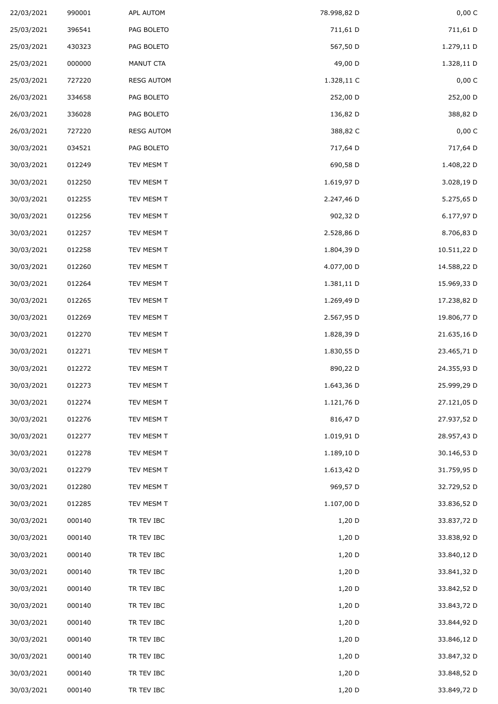| 22/03/2021 | 990001 | APL AUTOM         | 78.998,82 D | 0,00 C      |
|------------|--------|-------------------|-------------|-------------|
| 25/03/2021 | 396541 | PAG BOLETO        | 711,61 D    | 711,61 D    |
| 25/03/2021 | 430323 | PAG BOLETO        | 567,50 D    | 1.279,11 D  |
| 25/03/2021 | 000000 | MANUT CTA         | 49,00 D     | 1.328,11 D  |
| 25/03/2021 | 727220 | <b>RESG AUTOM</b> | 1.328,11 C  | 0,00 C      |
| 26/03/2021 | 334658 | PAG BOLETO        | 252,00 D    | 252,00 D    |
| 26/03/2021 | 336028 | PAG BOLETO        | 136,82 D    | 388,82 D    |
| 26/03/2021 | 727220 | <b>RESG AUTOM</b> | 388,82 C    | 0,00 C      |
| 30/03/2021 | 034521 | PAG BOLETO        | 717,64 D    | 717,64 D    |
| 30/03/2021 | 012249 | TEV MESM T        | 690,58 D    | 1.408,22 D  |
| 30/03/2021 | 012250 | TEV MESM T        | 1.619,97 D  | 3.028,19 D  |
| 30/03/2021 | 012255 | TEV MESM T        | 2.247,46 D  | 5.275,65 D  |
| 30/03/2021 | 012256 | TEV MESM T        | 902,32 D    | 6.177,97 D  |
| 30/03/2021 | 012257 | TEV MESM T        | 2.528,86 D  | 8.706,83 D  |
| 30/03/2021 | 012258 | TEV MESM T        | 1.804,39 D  | 10.511,22 D |
| 30/03/2021 | 012260 | TEV MESM T        | 4.077,00 D  | 14.588,22 D |
| 30/03/2021 | 012264 | TEV MESM T        | 1.381,11 D  | 15.969,33 D |
| 30/03/2021 | 012265 | TEV MESM T        | 1.269,49 D  | 17.238,82 D |
| 30/03/2021 | 012269 | TEV MESM T        | 2.567,95 D  | 19.806,77 D |
| 30/03/2021 | 012270 | TEV MESM T        | 1.828,39 D  | 21.635,16 D |
| 30/03/2021 | 012271 | TEV MESM T        | 1.830,55 D  | 23.465,71 D |
| 30/03/2021 | 012272 | TEV MESM T        | 890,22 D    | 24.355,93 D |
| 30/03/2021 | 012273 | TEV MESM T        | 1.643,36 D  | 25.999,29 D |
| 30/03/2021 | 012274 | TEV MESM T        | 1.121,76 D  | 27.121,05 D |
| 30/03/2021 | 012276 | TEV MESM T        | 816,47 D    | 27.937,52 D |
| 30/03/2021 | 012277 | TEV MESM T        | 1.019,91 D  | 28.957,43 D |
| 30/03/2021 | 012278 | TEV MESM T        | 1.189,10 D  | 30.146,53 D |
| 30/03/2021 | 012279 | TEV MESM T        | 1.613,42 D  | 31.759,95 D |
| 30/03/2021 | 012280 | TEV MESM T        | 969,57 D    | 32.729,52 D |
| 30/03/2021 | 012285 | TEV MESM T        | 1.107,00 D  | 33.836,52 D |
| 30/03/2021 | 000140 | TR TEV IBC        | $1,20$ D    | 33.837,72 D |
| 30/03/2021 | 000140 | TR TEV IBC        | 1,20 D      | 33.838,92 D |
| 30/03/2021 | 000140 | TR TEV IBC        | $1,20$ D    | 33.840,12 D |
| 30/03/2021 | 000140 | TR TEV IBC        | $1,20$ D    | 33.841,32 D |
| 30/03/2021 | 000140 | TR TEV IBC        | 1,20 D      | 33.842,52 D |
| 30/03/2021 | 000140 | TR TEV IBC        | $1,20$ D    | 33.843,72 D |
| 30/03/2021 | 000140 | TR TEV IBC        | $1,20$ D    | 33.844,92 D |
| 30/03/2021 | 000140 | TR TEV IBC        | $1,20$ D    | 33.846,12 D |
| 30/03/2021 | 000140 | TR TEV IBC        | $1,20$ D    | 33.847,32 D |
| 30/03/2021 | 000140 | TR TEV IBC        | $1,20$ D    | 33.848,52 D |
| 30/03/2021 | 000140 | TR TEV IBC        | 1,20 D      | 33.849,72 D |